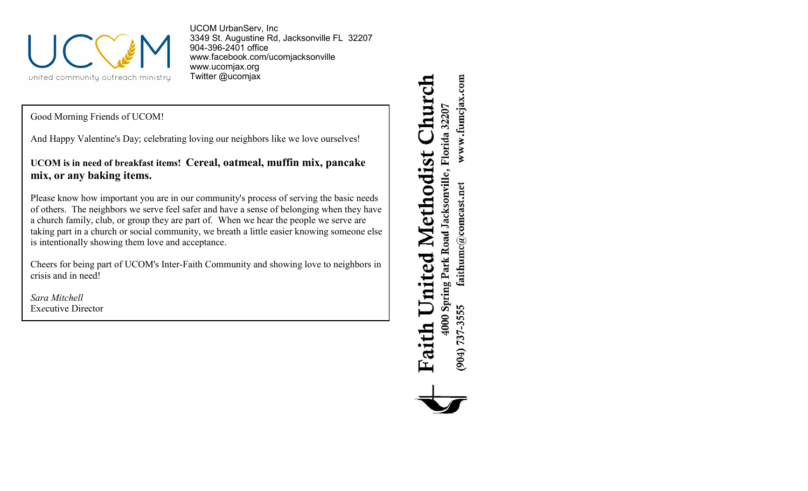

UCOM UrbanServ, Inc 3349 St. Augustine Rd, Jacksonville FL 32207 904-396-2401 office [www.facebook.com/ucomjacksonville](http://www.facebook.com/ucomjacksonville) [www.ucomjax.org](http://www.ucomjax.org) Twitter @ucomjax

Good Morning Friends of UCOM!

And Happy Valentine's Day; celebrating loving our neighbors like we love ourselves!

**UCOM is in need of breakfast items! Cereal, oatmeal, muffin mix, pancake mix, or any baking items.**

Please know how important you are in our community's process of serving the basic needs of others. The neighbors we serve feel safer and have a sense of belonging when they have a church family, club, or group they are part of. When we hear the people we serve are taking part in a church or social community, we breath a little easier knowing someone else is intentionally showing them love and acceptance.

Cheers for being part of UCOM's Inter-Faith Community and showing love to neighbors in crisis and in need!

*Sara Mitchell* Ex*e*cutive Director

Church www.fumcjax.com 4000 Spring Park Road Jacksonville, Florida 32207 United Methodist  $\operatorname{faithume}(\mathcal{Q} \text{comest.net})$ (904) 737-3555 Faith